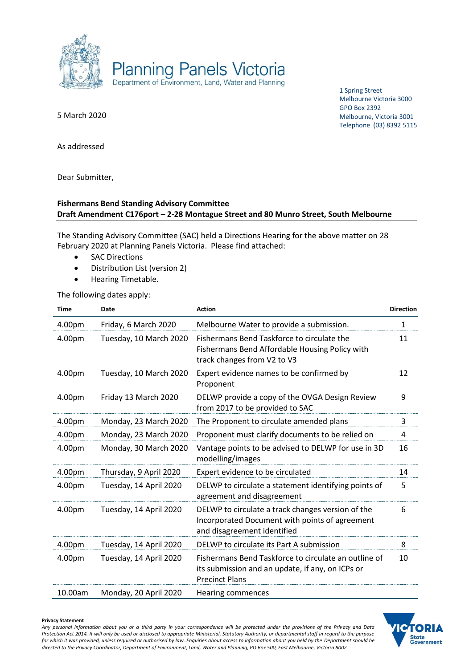

1 Spring Street Melbourne Victoria 3000 GPO Box 2392 Melbourne, Victoria 3001 Telephone (03) 8392 5115

5 March 2020

As addressed

Dear Submitter,

### **Fishermans Bend Standing Advisory Committee Draft Amendment C176port – 2-28 Montague Street and 80 Munro Street, South Melbourne**

The Standing Advisory Committee (SAC) held a Directions Hearing for the above matter on 28 February 2020 at Planning Panels Victoria. Please find attached:

- SAC Directions
- Distribution List (version 2)
- Hearing Timetable.

The following dates apply:

| <b>Time</b> | Date                   | <b>Action</b>                                                                                                                      | <b>Direction</b> |
|-------------|------------------------|------------------------------------------------------------------------------------------------------------------------------------|------------------|
| 4.00pm      | Friday, 6 March 2020   | Melbourne Water to provide a submission.                                                                                           | $\mathbf{1}$     |
| 4.00pm      | Tuesday, 10 March 2020 | Fishermans Bend Taskforce to circulate the<br>Fishermans Bend Affordable Housing Policy with<br>track changes from V2 to V3        | 11               |
| 4.00pm      | Tuesday, 10 March 2020 | Expert evidence names to be confirmed by<br>Proponent                                                                              | 12               |
| 4.00pm      | Friday 13 March 2020   | DELWP provide a copy of the OVGA Design Review<br>from 2017 to be provided to SAC                                                  | 9                |
| 4.00pm      | Monday, 23 March 2020  | The Proponent to circulate amended plans                                                                                           | 3                |
| 4.00pm      | Monday, 23 March 2020  | Proponent must clarify documents to be relied on                                                                                   | 4                |
| 4.00pm      | Monday, 30 March 2020  | Vantage points to be advised to DELWP for use in 3D<br>modelling/images                                                            | 16               |
| 4.00pm      | Thursday, 9 April 2020 | Expert evidence to be circulated                                                                                                   | 14               |
| 4.00pm      | Tuesday, 14 April 2020 | DELWP to circulate a statement identifying points of<br>agreement and disagreement                                                 | 5                |
| 4.00pm      | Tuesday, 14 April 2020 | DELWP to circulate a track changes version of the<br>Incorporated Document with points of agreement<br>and disagreement identified | 6                |
| 4.00pm      | Tuesday, 14 April 2020 | DELWP to circulate its Part A submission                                                                                           | 8                |
| 4.00pm      | Tuesday, 14 April 2020 | Fishermans Bend Taskforce to circulate an outline of<br>its submission and an update, if any, on ICPs or<br><b>Precinct Plans</b>  | 10               |
| 10.00am     | Monday, 20 April 2020  | Hearing commences                                                                                                                  |                  |

#### **Privacy Statement**

*Any personal information about you or a third party in your correspondence will be protected under the provisions of the Privacy and Data Protection Act 2014. It will only be used or disclosed to appropriate Ministerial, Statutory Authority, or departmental staff in regard to the purpose for which it was provided, unless required or authorised by law. Enquiries about access to information about you held by the Department should be directed to the Privacy Coordinator, Department of Environment, Land, Water and Planning, PO Box 500, East Melbourne, Victoria 8002*

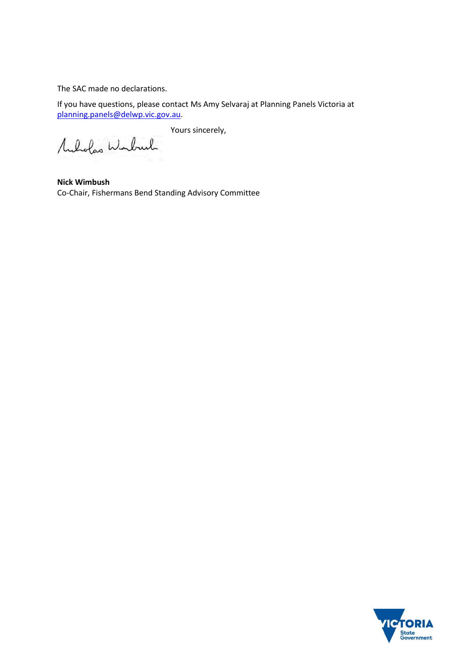The SAC made no declarations.

If you have questions, please contact Ms Amy Selvaraj at Planning Panels Victoria at [planning.panels@delwp.vic.gov.au.](mailto:planning.panels@delwp.vic.gov.au)

Yours sincerely,

Muholas Winburk

**Nick Wimbush** Co-Chair, Fishermans Bend Standing Advisory Committee

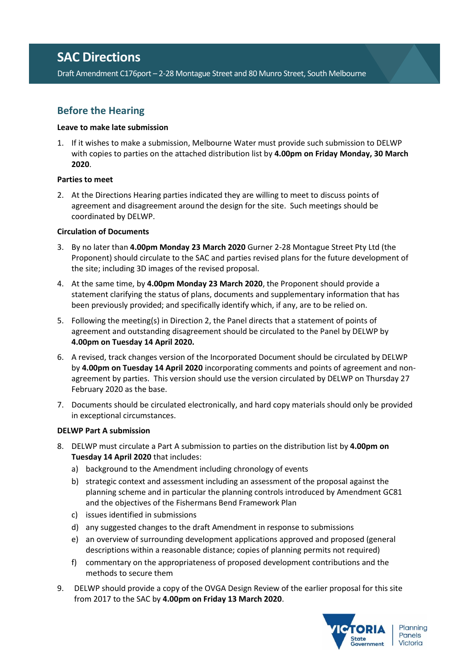## **SAC Directions**

Draft Amendment C176port – 2-28 Montague Street and 80 Munro Street, South Melbourne

## **Before the Hearing**

### **Leave to make late submission**

1. If it wishes to make a submission, Melbourne Water must provide such submission to DELWP with copies to parties on the attached distribution list by **4.00pm on Friday Monday, 30 March 2020**.

### **Parties to meet**

2. At the Directions Hearing parties indicated they are willing to meet to discuss points of agreement and disagreement around the design for the site. Such meetings should be coordinated by DELWP.

### **Circulation of Documents**

- 3. By no later than **4.00pm Monday 23 March 2020** Gurner 2-28 Montague Street Pty Ltd (the Proponent) should circulate to the SAC and parties revised plans for the future development of the site; including 3D images of the revised proposal.
- 4. At the same time, by **4.00pm Monday 23 March 2020**, the Proponent should provide a statement clarifying the status of plans, documents and supplementary information that has been previously provided; and specifically identify which, if any, are to be relied on.
- 5. Following the meeting(s) in Direction 2, the Panel directs that a statement of points of agreement and outstanding disagreement should be circulated to the Panel by DELWP by **4.00pm on Tuesday 14 April 2020.**
- 6. A revised, track changes version of the Incorporated Document should be circulated by DELWP by **4.00pm on Tuesday 14 April 2020** incorporating comments and points of agreement and nonagreement by parties. This version should use the version circulated by DELWP on Thursday 27 February 2020 as the base.
- 7. Documents should be circulated electronically, and hard copy materials should only be provided in exceptional circumstances.

### **DELWP Part A submission**

- 8. DELWP must circulate a Part A submission to parties on the distribution list by **4.00pm on Tuesday 14 April 2020** that includes:
	- a) background to the Amendment including chronology of events
	- b) strategic context and assessment including an assessment of the proposal against the planning scheme and in particular the planning controls introduced by Amendment GC81 and the objectives of the Fishermans Bend Framework Plan
	- c) issues identified in submissions
	- d) any suggested changes to the draft Amendment in response to submissions
	- e) an overview of surrounding development applications approved and proposed (general descriptions within a reasonable distance; copies of planning permits not required)
	- f) commentary on the appropriateness of proposed development contributions and the methods to secure them
- 9. DELWP should provide a copy of the OVGA Design Review of the earlier proposal for this site from 2017 to the SAC by **4.00pm on Friday 13 March 2020**.

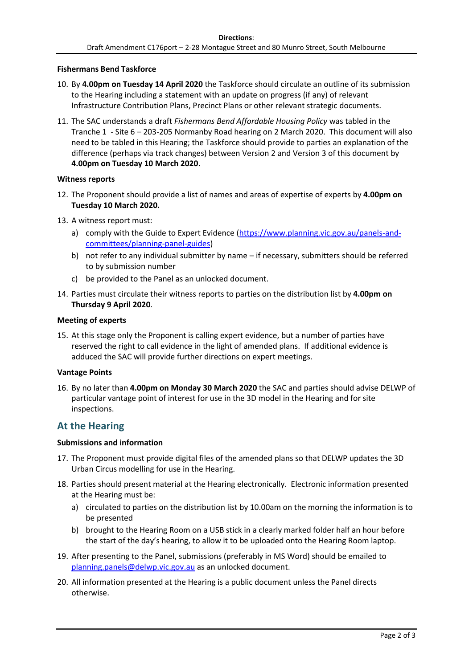### **Fishermans Bend Taskforce**

- 10. By **4.00pm on Tuesday 14 April 2020** the Taskforce should circulate an outline of its submission to the Hearing including a statement with an update on progress (if any) of relevant Infrastructure Contribution Plans, Precinct Plans or other relevant strategic documents.
- 11. The SAC understands a draft *Fishermans Bend Affordable Housing Policy* was tabled in the Tranche 1 - Site 6 – 203-205 Normanby Road hearing on 2 March 2020. This document will also need to be tabled in this Hearing; the Taskforce should provide to parties an explanation of the difference (perhaps via track changes) between Version 2 and Version 3 of this document by **4.00pm on Tuesday 10 March 2020**.

### **Witness reports**

- 12. The Proponent should provide a list of names and areas of expertise of experts by **4.00pm on Tuesday 10 March 2020.**
- 13. A witness report must:
	- a) comply with the Guide to Expert Evidence [\(https://www.planning.vic.gov.au/panels-and](https://www.planning.vic.gov.au/panels-and-committees/planning-panel-guides)[committees/planning-panel-guides\)](https://www.planning.vic.gov.au/panels-and-committees/planning-panel-guides)
	- b) not refer to any individual submitter by name if necessary, submitters should be referred to by submission number
	- c) be provided to the Panel as an unlocked document.
- 14. Parties must circulate their witness reports to parties on the distribution list by **4.00pm on Thursday 9 April 2020**.

### **Meeting of experts**

15. At this stage only the Proponent is calling expert evidence, but a number of parties have reserved the right to call evidence in the light of amended plans. If additional evidence is adduced the SAC will provide further directions on expert meetings.

#### **Vantage Points**

16. By no later than **4.00pm on Monday 30 March 2020** the SAC and parties should advise DELWP of particular vantage point of interest for use in the 3D model in the Hearing and for site inspections.

### **At the Hearing**

### **Submissions and information**

- 17. The Proponent must provide digital files of the amended plans so that DELWP updates the 3D Urban Circus modelling for use in the Hearing.
- 18. Parties should present material at the Hearing electronically. Electronic information presented at the Hearing must be:
	- a) circulated to parties on the distribution list by 10.00am on the morning the information is to be presented
	- b) brought to the Hearing Room on a USB stick in a clearly marked folder half an hour before the start of the day's hearing, to allow it to be uploaded onto the Hearing Room laptop.
- 19. After presenting to the Panel, submissions (preferably in MS Word) should be emailed to [planning.panels@delwp.vic.gov.au](mailto:planning.panels@delwp.vic.gov.au) as an unlocked document.
- 20. All information presented at the Hearing is a public document unless the Panel directs otherwise.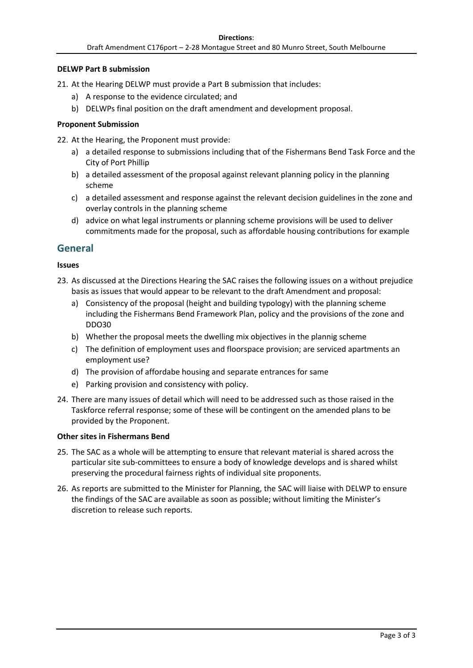### **DELWP Part B submission**

21. At the Hearing DELWP must provide a Part B submission that includes:

- a) A response to the evidence circulated; and
- b) DELWPs final position on the draft amendment and development proposal.

### **Proponent Submission**

22. At the Hearing, the Proponent must provide:

- a) a detailed response to submissions including that of the Fishermans Bend Task Force and the City of Port Phillip
- b) a detailed assessment of the proposal against relevant planning policy in the planning scheme
- c) a detailed assessment and response against the relevant decision guidelines in the zone and overlay controls in the planning scheme
- d) advice on what legal instruments or planning scheme provisions will be used to deliver commitments made for the proposal, such as affordable housing contributions for example

### **General**

### **Issues**

- 23. As discussed at the Directions Hearing the SAC raises the following issues on a without prejudice basis as issues that would appear to be relevant to the draft Amendment and proposal:
	- a) Consistency of the proposal (height and building typology) with the planning scheme including the Fishermans Bend Framework Plan, policy and the provisions of the zone and DDO30
	- b) Whether the proposal meets the dwelling mix objectives in the plannig scheme
	- c) The definition of employment uses and floorspace provision; are serviced apartments an employment use?
	- d) The provision of affordabe housing and separate entrances for same
	- e) Parking provision and consistency with policy.
- 24. There are many issues of detail which will need to be addressed such as those raised in the Taskforce referral response; some of these will be contingent on the amended plans to be provided by the Proponent.

### **Other sites in Fishermans Bend**

- 25. The SAC as a whole will be attempting to ensure that relevant material is shared across the particular site sub-committees to ensure a body of knowledge develops and is shared whilst preserving the procedural fairness rights of individual site proponents.
- 26. As reports are submitted to the Minister for Planning, the SAC will liaise with DELWP to ensure the findings of the SAC are available as soon as possible; without limiting the Minister's discretion to release such reports.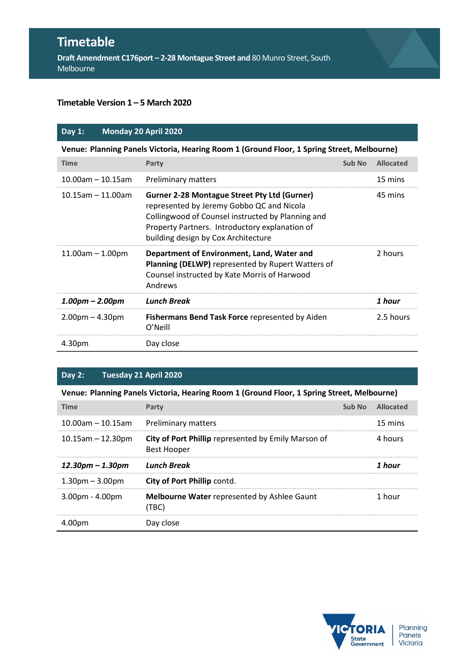# **Timetable**

**Draft Amendment C176port – 2-28 Montague Street and** 80 Munro Street, South Melbourne

### **Timetable Version 1 – 5 March 2020**

| Day $1:$                | Monday 20 April 2020                                                                                                                                                                                                                           |        |                  |  |
|-------------------------|------------------------------------------------------------------------------------------------------------------------------------------------------------------------------------------------------------------------------------------------|--------|------------------|--|
|                         | Venue: Planning Panels Victoria, Hearing Room 1 (Ground Floor, 1 Spring Street, Melbourne)                                                                                                                                                     |        |                  |  |
| <b>Time</b>             | Party                                                                                                                                                                                                                                          | Sub No | <b>Allocated</b> |  |
| $10.00$ am $- 10.15$ am | <b>Preliminary matters</b>                                                                                                                                                                                                                     |        | 15 mins          |  |
| $10.15$ am - 11.00am    | <b>Gurner 2-28 Montague Street Pty Ltd (Gurner)</b><br>represented by Jeremy Gobbo QC and Nicola<br>Collingwood of Counsel instructed by Planning and<br>Property Partners. Introductory explanation of<br>building design by Cox Architecture |        | 45 mins          |  |
| $11.00am - 1.00pm$      | Department of Environment, Land, Water and<br>Planning (DELWP) represented by Rupert Watters of<br>Counsel instructed by Kate Morris of Harwood<br>Andrews                                                                                     |        | 2 hours          |  |
| $1.00pm - 2.00pm$       | <b>Lunch Break</b>                                                                                                                                                                                                                             |        | 1 hour           |  |
| $2.00pm - 4.30pm$       | Fishermans Bend Task Force represented by Aiden<br>O'Neill                                                                                                                                                                                     |        | 2.5 hours        |  |
| 4.30pm                  | Day close                                                                                                                                                                                                                                      |        |                  |  |

### **Day 2: Tuesday 21 April 2020**

**Venue: Planning Panels Victoria, Hearing Room 1 (Ground Floor, 1 Spring Street, Melbourne)**

| <b>Time</b>             | Party                                                                     | Sub No | <b>Allocated</b> |
|-------------------------|---------------------------------------------------------------------------|--------|------------------|
| $10.00$ am - 10.15am    | Preliminary matters                                                       |        | 15 mins          |
| $10.15$ am $- 12.30$ pm | City of Port Phillip represented by Emily Marson of<br><b>Best Hooper</b> |        | 4 hours          |
| $12.30$ pm – 1.30pm     | <b>Lunch Break</b>                                                        |        | 1 hour           |
| $1.30pm - 3.00pm$       | City of Port Phillip contd.                                               |        |                  |
| $3.00pm - 4.00pm$       | Melbourne Water represented by Ashlee Gaunt<br>(TBC)                      |        | 1 hour           |
| 4.00pm                  | Day close                                                                 |        |                  |

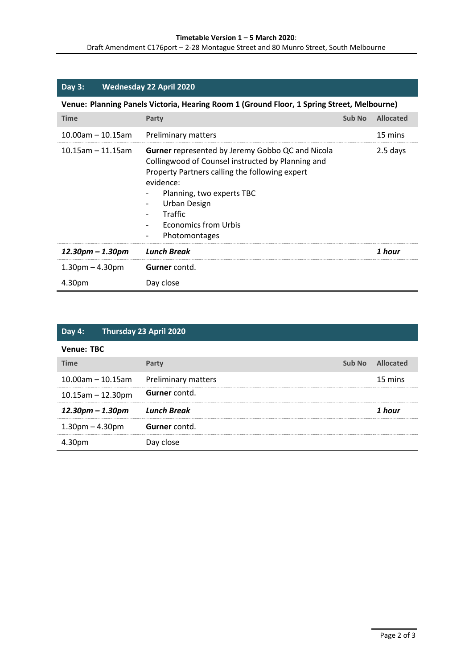| Day 3:               | <b>Wednesday 22 April 2020</b>                                                                                                                                                                                                                                               |        |                  |
|----------------------|------------------------------------------------------------------------------------------------------------------------------------------------------------------------------------------------------------------------------------------------------------------------------|--------|------------------|
|                      | Venue: Planning Panels Victoria, Hearing Room 1 (Ground Floor, 1 Spring Street, Melbourne)                                                                                                                                                                                   |        |                  |
| <b>Time</b>          | Party                                                                                                                                                                                                                                                                        | Sub No | <b>Allocated</b> |
| $10.00$ am - 10.15am | <b>Preliminary matters</b>                                                                                                                                                                                                                                                   |        | 15 mins          |
| $10.15$ am – 11.15am | <b>Gurner</b> represented by Jeremy Gobbo QC and Nicola<br>Collingwood of Counsel instructed by Planning and<br>Property Partners calling the following expert<br>evidence:<br>Planning, two experts TBC<br>Urban Design<br>Traffic<br>Economics from Urbis<br>Photomontages |        | 2.5 days         |
| 12.30pm – 1.30pm     | <b>Lunch Break</b>                                                                                                                                                                                                                                                           |        | 1 hour           |
| $1.30pm - 4.30pm$    | <b>Gurner</b> contd.                                                                                                                                                                                                                                                         |        |                  |
| 4.30pm               | Day close                                                                                                                                                                                                                                                                    |        |                  |

| Day 4:                  | Thursday 23 April 2020     |        |                  |
|-------------------------|----------------------------|--------|------------------|
| <b>Venue: TBC</b>       |                            |        |                  |
| <b>Time</b>             | Party                      | Sub No | <b>Allocated</b> |
| $10.00$ am - 10.15am    | <b>Preliminary matters</b> |        | 15 mins          |
| $10.15$ am $- 12.30$ pm | Gurner contd.              |        |                  |
| $12.30$ pm – 1.30pm     | <b>Lunch Break</b>         |        | 1 hour           |
| $1.30pm - 4.30pm$       | Gurner contd.              |        |                  |
| 4.30pm                  | Day close                  |        |                  |